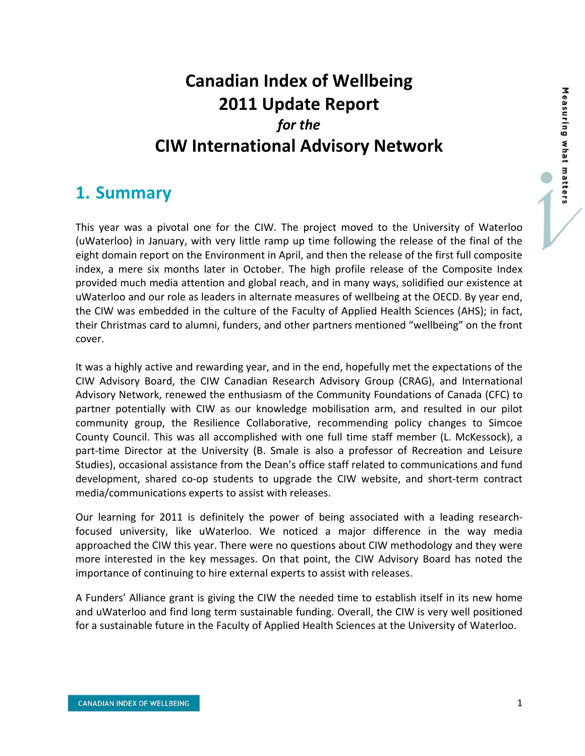# **Canadian Index of Wellbeing 2011 Update Report** *for the* **CIW International Advisory Network**

### **1. Summary**

This year was a pivotal one for the CIW. The project moved to the University of Waterloo (uWaterloo) in January, with very little ramp up time following the release of the final of the eight domain report on the Environment in April, and then the release of the first full composite index, a mere six months later in October. The high profile release of the Composite Index provided much media attention and global reach, and in many ways, solidified our existence at uWaterloo and our role as leaders in alternate measures of wellbeing at the OECD. By year end, the CIW was embedded in the culture of the Faculty of Applied Health Sciences (AHS); in fact, their Christmas card to alumni, funders, and other partners mentioned "wellbeing" on the front cover.

It was a highly active and rewarding year, and in the end, hopefully met the expectations of the CIW Advisory Board, the CIW Canadian Research Advisory Group (CRAG), and International Advisory Network, renewed the enthusiasm of the Community Foundations of Canada (CFC) to partner potentially with CIW as our knowledge mobilisation arm, and resulted in our pilot community group, the Resilience Collaborative, recommending policy changes to Simcoe County Council. This was all accomplished with one full time staff member (L. McKessock), a part-time Director at the University (B. Smale is also a professor of Recreation and Leisure Studies), occasional assistance from the Dean's office staff related to communications and fund development, shared co-op students to upgrade the CIW website, and short-term contract media/communications experts to assist with releases.

Our learning for 2011 is definitely the power of being associated with a leading research‐ focused university, like uWaterloo. We noticed a major difference in the way media approached the CIW this year. There were no questions about CIW methodology and they were more interested in the key messages. On that point, the CIW Advisory Board has noted the importance of continuing to hire external experts to assist with releases.

A Funders' Alliance grant is giving the CIW the needed time to establish itself in its new home and uWaterloo and find long term sustainable funding. Overall, the CIW is very well positioned for a sustainable future in the Faculty of Applied Health Sciences at the University of Waterloo.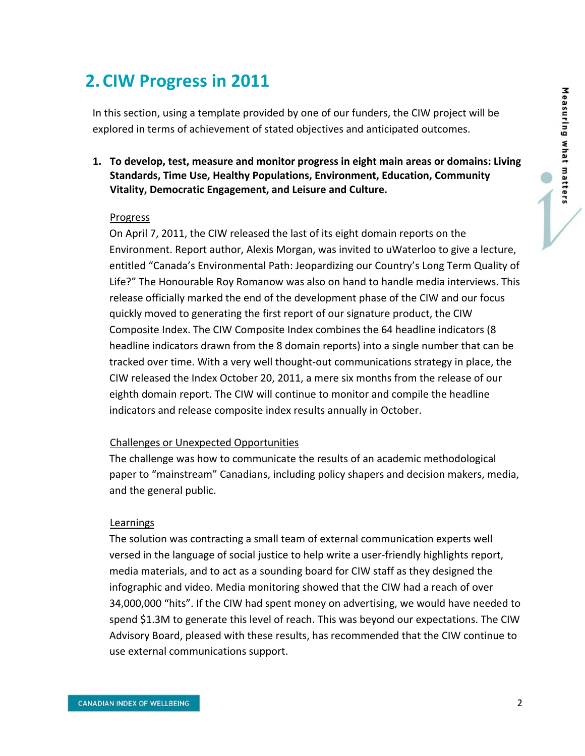## **2.CIW Progress in 2011**

In this section, using a template provided by one of our funders, the CIW project will be explored in terms of achievement of stated objectives and anticipated outcomes.

**1. To develop, test, measure and monitor progress in eight main areas or domains: Living Standards, Time Use, Healthy Populations, Environment, Education, Community Vitality, Democratic Engagement, and Leisure and Culture.** 

#### Progress

On April 7, 2011, the CIW released the last of its eight domain reports on the Environment. Report author, Alexis Morgan, was invited to uWaterloo to give a lecture, entitled "Canada's Environmental Path: Jeopardizing our Country's Long Term Quality of Life?" The Honourable Roy Romanow was also on hand to handle media interviews. This release officially marked the end of the development phase of the CIW and our focus quickly moved to generating the first report of our signature product, the CIW Composite Index. The CIW Composite Index combines the 64 headline indicators (8 headline indicators drawn from the 8 domain reports) into a single number that can be tracked over time. With a very well thought‐out communications strategy in place, the CIW released the Index October 20, 2011, a mere six months from the release of our eighth domain report. The CIW will continue to monitor and compile the headline indicators and release composite index results annually in October.

#### Challenges or Unexpected Opportunities

The challenge was how to communicate the results of an academic methodological paper to "mainstream" Canadians, including policy shapers and decision makers, media, and the general public.

#### Learnings

The solution was contracting a small team of external communication experts well versed in the language of social justice to help write a user‐friendly highlights report, media materials, and to act as a sounding board for CIW staff as they designed the infographic and video. Media monitoring showed that the CIW had a reach of over 34,000,000 "hits". If the CIW had spent money on advertising, we would have needed to spend \$1.3M to generate this level of reach. This was beyond our expectations. The CIW Advisory Board, pleased with these results, has recommended that the CIW continue to use external communications support.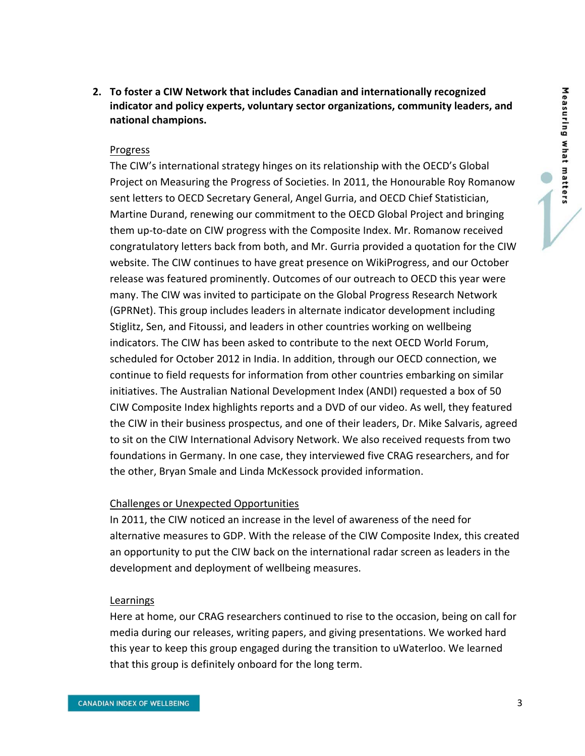**2. To foster a CIW Network that includes Canadian and internationally recognized indicator and policy experts, voluntary sector organizations, community leaders, and national champions.**

#### Progress

The CIW's international strategy hinges on its relationship with the OECD's Global Project on Measuring the Progress of Societies. In 2011, the Honourable Roy Romanow sent letters to OECD Secretary General, Angel Gurria, and OECD Chief Statistician, Martine Durand, renewing our commitment to the OECD Global Project and bringing them up-to-date on CIW progress with the Composite Index. Mr. Romanow received congratulatory letters back from both, and Mr. Gurria provided a quotation for the CIW website. The CIW continues to have great presence on WikiProgress, and our October release was featured prominently. Outcomes of our outreach to OECD this year were many. The CIW was invited to participate on the Global Progress Research Network (GPRNet). This group includes leaders in alternate indicator development including Stiglitz, Sen, and Fitoussi, and leaders in other countries working on wellbeing indicators. The CIW has been asked to contribute to the next OECD World Forum, scheduled for October 2012 in India. In addition, through our OECD connection, we continue to field requests for information from other countries embarking on similar initiatives. The Australian National Development Index (ANDI) requested a box of 50 CIW Composite Index highlights reports and a DVD of our video. As well, they featured the CIW in their business prospectus, and one of their leaders, Dr. Mike Salvaris, agreed to sit on the CIW International Advisory Network. We also received requests from two foundations in Germany. In one case, they interviewed five CRAG researchers, and for the other, Bryan Smale and Linda McKessock provided information.

#### Challenges or Unexpected Opportunities

In 2011, the CIW noticed an increase in the level of awareness of the need for alternative measures to GDP. With the release of the CIW Composite Index, this created an opportunity to put the CIW back on the international radar screen as leaders in the development and deployment of wellbeing measures.

#### Learnings

Here at home, our CRAG researchers continued to rise to the occasion, being on call for media during our releases, writing papers, and giving presentations. We worked hard this year to keep this group engaged during the transition to uWaterloo. We learned that this group is definitely onboard for the long term.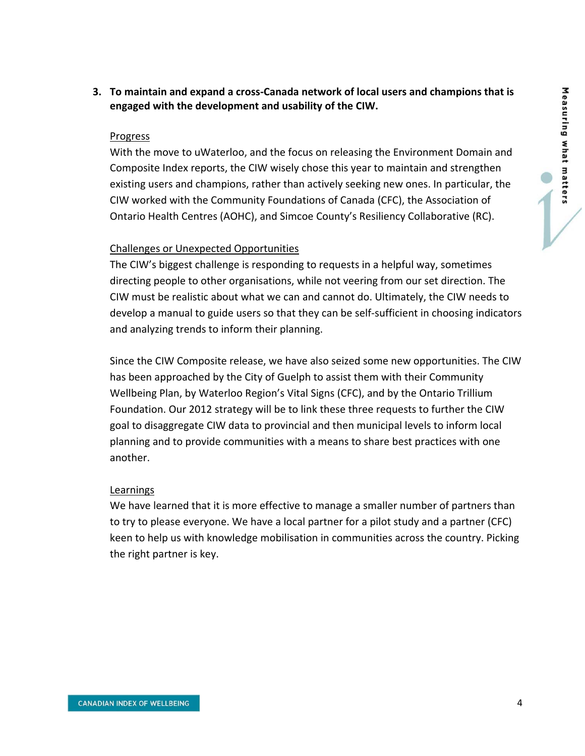**3. To maintain and expand a cross‐Canada network of local users and champions that is engaged with the development and usability of the CIW.**

#### Progress

With the move to uWaterloo, and the focus on releasing the Environment Domain and Composite Index reports, the CIW wisely chose this year to maintain and strengthen existing users and champions, rather than actively seeking new ones. In particular, the CIW worked with the Community Foundations of Canada (CFC), the Association of Ontario Health Centres (AOHC), and Simcoe County's Resiliency Collaborative (RC).

#### Challenges or Unexpected Opportunities

The CIW's biggest challenge is responding to requests in a helpful way, sometimes directing people to other organisations, while not veering from our set direction. The CIW must be realistic about what we can and cannot do. Ultimately, the CIW needs to develop a manual to guide users so that they can be self‐sufficient in choosing indicators and analyzing trends to inform their planning.

Since the CIW Composite release, we have also seized some new opportunities. The CIW has been approached by the City of Guelph to assist them with their Community Wellbeing Plan, by Waterloo Region's Vital Signs (CFC), and by the Ontario Trillium Foundation. Our 2012 strategy will be to link these three requests to further the CIW goal to disaggregate CIW data to provincial and then municipal levels to inform local planning and to provide communities with a means to share best practices with one another.

#### Learnings

We have learned that it is more effective to manage a smaller number of partners than to try to please everyone. We have a local partner for a pilot study and a partner (CFC) keen to help us with knowledge mobilisation in communities across the country. Picking the right partner is key.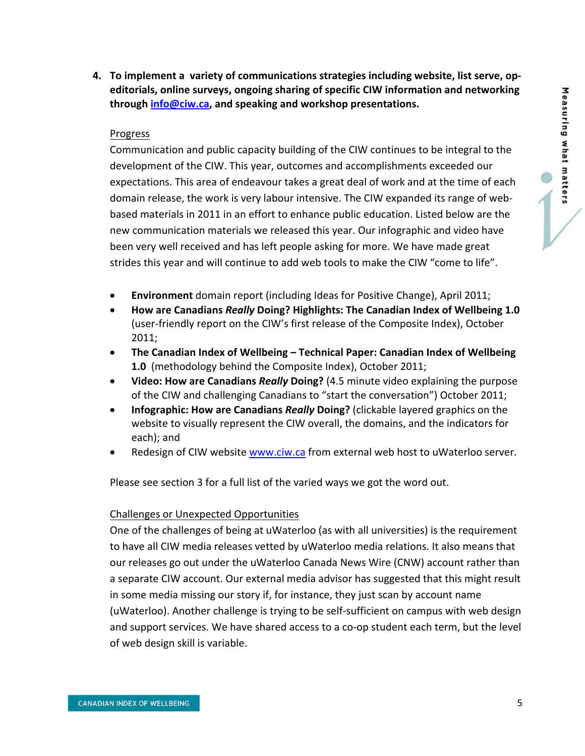**4. To implement a variety of communications strategies including website, list serve, op‐ editorials, online surveys, ongoing sharing of specific CIW information and networking through info@ciw.ca, and speaking and workshop presentations.**

#### Progress

Communication and public capacity building of the CIW continues to be integral to the development of the CIW. This year, outcomes and accomplishments exceeded our expectations. This area of endeavour takes a great deal of work and at the time of each domain release, the work is very labour intensive. The CIW expanded its range of web‐ based materials in 2011 in an effort to enhance public education. Listed below are the new communication materials we released this year. Our infographic and video have been very well received and has left people asking for more. We have made great strides this year and will continue to add web tools to make the CIW "come to life".

- **Environment** domain report (including Ideas for Positive Change), April 2011;
- **How are Canadians** *Really* **Doing? Highlights: The Canadian Index of Wellbeing 1.0** (user‐friendly report on the CIW's first release of the Composite Index), October 2011;
- **The Canadian Index of Wellbeing – Technical Paper: Canadian Index of Wellbeing 1.0** (methodology behind the Composite Index), October 2011;
- **Video: How are Canadians** *Really* **Doing?** (4.5 minute video explaining the purpose of the CIW and challenging Canadians to "start the conversation") October 2011;
- **Infographic: How are Canadians** *Really* **Doing?** (clickable layered graphics on the website to visually represent the CIW overall, the domains, and the indicators for each); and
- Redesign of CIW website www.ciw.ca from external web host to uWaterloo server.

Please see section 3 for a full list of the varied ways we got the word out.

#### Challenges or Unexpected Opportunities

One of the challenges of being at uWaterloo (as with all universities) is the requirement to have all CIW media releases vetted by uWaterloo media relations. It also means that our releases go out under the uWaterloo Canada News Wire (CNW) account rather than a separate CIW account. Our external media advisor has suggested that this might result in some media missing our story if, for instance, they just scan by account name (uWaterloo). Another challenge is trying to be self‐sufficient on campus with web design and support services. We have shared access to a co‐op student each term, but the level of web design skill is variable.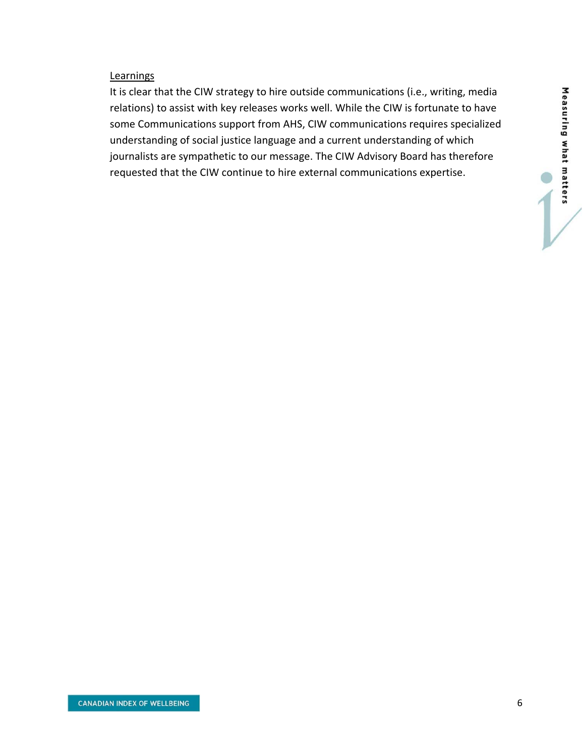### **Learnings**

It is clear that the CIW strategy to hire outside communications (i.e., writing, media relations) to assist with key releases works well. While the CIW is fortunate to have some Communications support from AHS, CIW communications requires specialized understanding of social justice language and a current understanding of which journalists are sympathetic to our message. The CIW Advisory Board has therefore requested that the CIW continue to hire external communications expertise.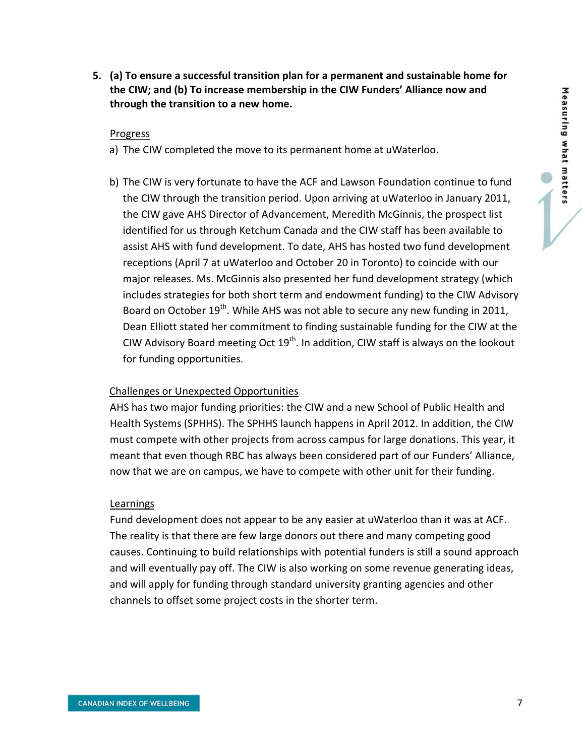**5. (a) To ensure a successful transition plan for a permanent and sustainable home for the CIW; and (b) To increase membership in the CIW Funders' Alliance now and through the transition to a new home.**

#### Progress

- a) The CIW completed the move to its permanent home at uWaterloo.
- b) The CIW is very fortunate to have the ACF and Lawson Foundation continue to fund the CIW through the transition period. Upon arriving at uWaterloo in January 2011, the CIW gave AHS Director of Advancement, Meredith McGinnis, the prospect list identified for us through Ketchum Canada and the CIW staff has been available to assist AHS with fund development. To date, AHS has hosted two fund development receptions (April 7 at uWaterloo and October 20 in Toronto) to coincide with our major releases. Ms. McGinnis also presented her fund development strategy (which includes strategies for both short term and endowment funding) to the CIW Advisory Board on October  $19^{th}$ . While AHS was not able to secure any new funding in 2011, Dean Elliott stated her commitment to finding sustainable funding for the CIW at the CIW Advisory Board meeting Oct  $19<sup>th</sup>$ . In addition, CIW staff is always on the lookout for funding opportunities.

#### Challenges or Unexpected Opportunities

AHS has two major funding priorities: the CIW and a new School of Public Health and Health Systems (SPHHS). The SPHHS launch happens in April 2012. In addition, the CIW must compete with other projects from across campus for large donations. This year, it meant that even though RBC has always been considered part of our Funders' Alliance, now that we are on campus, we have to compete with other unit for their funding.

#### **Learnings**

Fund development does not appear to be any easier at uWaterloo than it was at ACF. The reality is that there are few large donors out there and many competing good causes. Continuing to build relationships with potential funders is still a sound approach and will eventually pay off. The CIW is also working on some revenue generating ideas, and will apply for funding through standard university granting agencies and other channels to offset some project costs in the shorter term.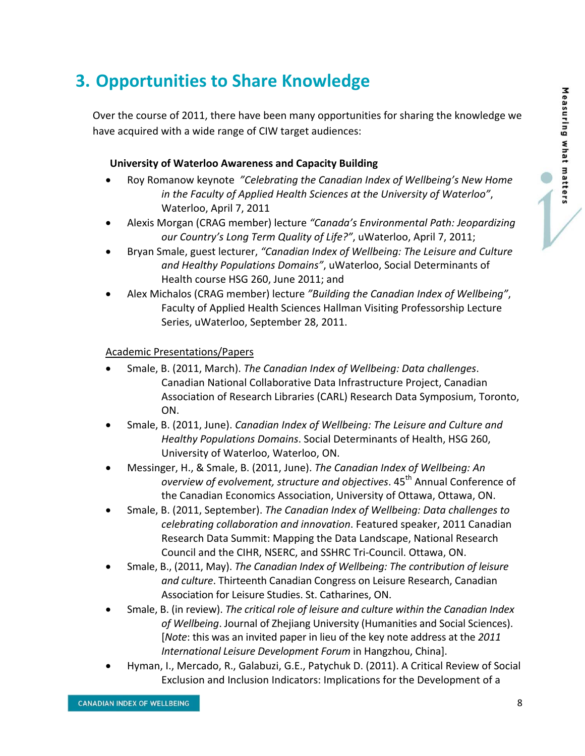# **3. Opportunities to Share Knowledge**

Over the course of 2011, there have been many opportunities for sharing the knowledge we have acquired with a wide range of CIW target audiences:

### **University of Waterloo Awareness and Capacity Building**

- Roy Romanow keynote *"Celebrating the Canadian Index of Wellbeing's New Home in the Faculty of Applied Health Sciences at the University of Waterloo"*, Waterloo, April 7, 2011
- Alexis Morgan (CRAG member) lecture *"Canada's Environmental Path: Jeopardizing our Country's Long Term Quality of Life?"*, uWaterloo, April 7, 2011;
- Bryan Smale, guest lecturer, *"Canadian Index of Wellbeing: The Leisure and Culture and Healthy Populations Domains"*, uWaterloo, Social Determinants of Health course HSG 260, June 2011; and
- Alex Michalos (CRAG member) lecture *"Building the Canadian Index of Wellbeing"*, Faculty of Applied Health Sciences Hallman Visiting Professorship Lecture Series, uWaterloo, September 28, 2011.

### Academic Presentations/Papers

- Smale, B. (2011, March). *The Canadian Index of Wellbeing: Data challenges*. Canadian National Collaborative Data Infrastructure Project, Canadian Association of Research Libraries (CARL) Research Data Symposium, Toronto, ON.
- Smale, B. (2011, June). *Canadian Index of Wellbeing: The Leisure and Culture and Healthy Populations Domains*. Social Determinants of Health, HSG 260, University of Waterloo, Waterloo, ON.
- Messinger, H., & Smale, B. (2011, June). *The Canadian Index of Wellbeing: An overview of evolvement, structure and objectives*. 45th Annual Conference of the Canadian Economics Association, University of Ottawa, Ottawa, ON.
- Smale, B. (2011, September). *The Canadian Index of Wellbeing: Data challenges to celebrating collaboration and innovation*. Featured speaker, 2011 Canadian Research Data Summit: Mapping the Data Landscape, National Research Council and the CIHR, NSERC, and SSHRC Tri‐Council. Ottawa, ON.
- Smale, B., (2011, May). *The Canadian Index of Wellbeing: The contribution of leisure and culture*. Thirteenth Canadian Congress on Leisure Research, Canadian Association for Leisure Studies. St. Catharines, ON.
- Smale, B. (in review). *The critical role of leisure and culture within the Canadian Index of Wellbeing*. Journal of Zhejiang University (Humanities and Social Sciences). [*Note*: this was an invited paper in lieu of the key note address at the *2011 International Leisure Development Forum* in Hangzhou, China].
- Hyman, I., Mercado, R., Galabuzi, G.E., Patychuk D. (2011). A Critical Review of Social Exclusion and Inclusion Indicators: Implications for the Development of a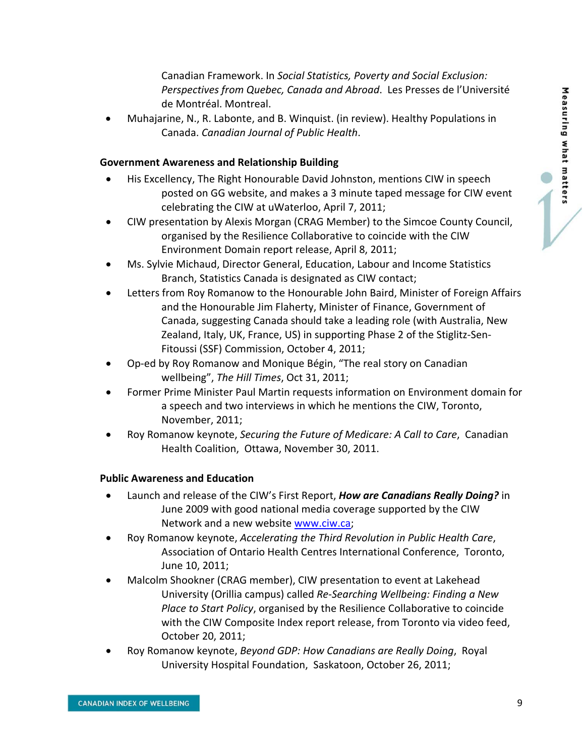Canadian Framework. In *Social Statistics, Poverty and Social Exclusion: Perspectives from Quebec, Canada and Abroad*. Les Presses de l'Université de Montréal. Montreal.

 Muhajarine, N., R. Labonte, and B. Winquist. (in review). Healthy Populations in Canada. *Canadian Journal of Public Health*.

#### **Government Awareness and Relationship Building**

- His Excellency, The Right Honourable David Johnston, mentions CIW in speech posted on GG website, and makes a 3 minute taped message for CIW event celebrating the CIW at uWaterloo, April 7, 2011;
- CIW presentation by Alexis Morgan (CRAG Member) to the Simcoe County Council, organised by the Resilience Collaborative to coincide with the CIW Environment Domain report release, April 8, 2011;
- Ms. Sylvie Michaud, Director General, Education, Labour and Income Statistics Branch, Statistics Canada is designated as CIW contact;
- Letters from Roy Romanow to the Honourable John Baird, Minister of Foreign Affairs and the Honourable Jim Flaherty, Minister of Finance, Government of Canada, suggesting Canada should take a leading role (with Australia, New Zealand, Italy, UK, France, US) in supporting Phase 2 of the Stiglitz‐Sen‐ Fitoussi (SSF) Commission, October 4, 2011;
- Op‐ed by Roy Romanow and Monique Bégin, "The real story on Canadian wellbeing", *The Hill Times*, Oct 31, 2011;
- Former Prime Minister Paul Martin requests information on Environment domain for a speech and two interviews in which he mentions the CIW, Toronto, November, 2011;
- Roy Romanow keynote, *Securing the Future of Medicare: A Call to Care*, Canadian Health Coalition, Ottawa, November 30, 2011.

#### **Public Awareness and Education**

- Launch and release of the CIW's First Report, *How are Canadians Really Doing?* in June 2009 with good national media coverage supported by the CIW Network and a new website www.ciw.ca;
- Roy Romanow keynote, *Accelerating the Third Revolution in Public Health Care*, Association of Ontario Health Centres International Conference, Toronto, June 10, 2011;
- Malcolm Shookner (CRAG member), CIW presentation to event at Lakehead University (Orillia campus) called *Re‐Searching Wellbeing: Finding a New Place to Start Policy*, organised by the Resilience Collaborative to coincide with the CIW Composite Index report release, from Toronto via video feed, October 20, 2011;
- Roy Romanow keynote, *Beyond GDP: How Canadians are Really Doing*, Royal University Hospital Foundation, Saskatoon, October 26, 2011;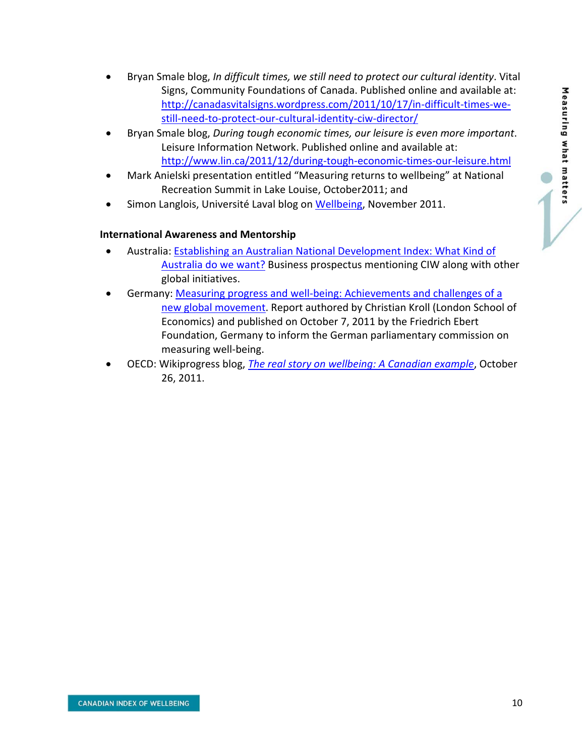- Bryan Smale blog, *In difficult times, we still need to protect our cultural identity*. Vital Signs, Community Foundations of Canada. Published online and available at: http://canadasvitalsigns.wordpress.com/2011/10/17/in-difficult-times-westill‐need‐to‐protect‐our‐cultural‐identity‐ciw‐director/
- Bryan Smale blog, *During tough economic times, our leisure is even more important*. Leisure Information Network. Published online and available at: http://www.lin.ca/2011/12/during‐tough‐economic‐times‐our‐leisure.html
- Mark Anielski presentation entitled "Measuring returns to wellbeing" at National Recreation Summit in Lake Louise, October2011; and
- Simon Langlois, Université Laval blog on Wellbeing, November 2011.

### **International Awareness and Mentorship**

- Australia: Establishing an Australian National Development Index: What Kind of Australia do we want? Business prospectus mentioning CIW along with other global initiatives.
- Germany: Measuring progress and well‐being: Achievements and challenges of a new global movement. Report authored by Christian Kroll (London School of Economics) and published on October 7, 2011 by the Friedrich Ebert Foundation, Germany to inform the German parliamentary commission on measuring well‐being.
- OECD: Wikiprogress blog, *The real story on wellbeing: A Canadian example*, October 26, 2011.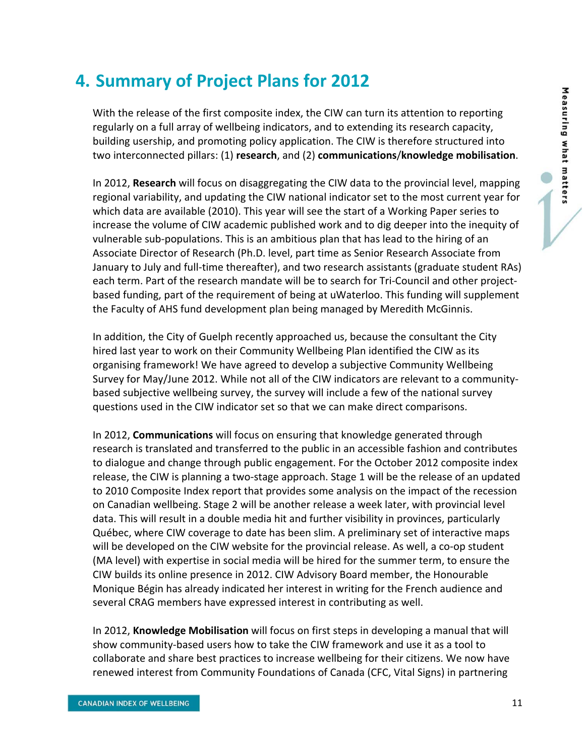## **4. Summary of Project Plans for 2012**

With the release of the first composite index, the CIW can turn its attention to reporting regularly on a full array of wellbeing indicators, and to extending its research capacity, building usership, and promoting policy application. The CIW is therefore structured into two interconnected pillars: (1) **research**, and (2) **communications**/**knowledge mobilisation**.

In 2012, **Research** will focus on disaggregating the CIW data to the provincial level, mapping regional variability, and updating the CIW national indicator set to the most current year for which data are available (2010). This year will see the start of a Working Paper series to increase the volume of CIW academic published work and to dig deeper into the inequity of vulnerable sub‐populations. This is an ambitious plan that has lead to the hiring of an Associate Director of Research (Ph.D. level, part time as Senior Research Associate from January to July and full‐time thereafter), and two research assistants (graduate student RAs) each term. Part of the research mandate will be to search for Tri-Council and other projectbased funding, part of the requirement of being at uWaterloo. This funding will supplement the Faculty of AHS fund development plan being managed by Meredith McGinnis.

In addition, the City of Guelph recently approached us, because the consultant the City hired last year to work on their Community Wellbeing Plan identified the CIW as its organising framework! We have agreed to develop a subjective Community Wellbeing Survey for May/June 2012. While not all of the CIW indicators are relevant to a community‐ based subjective wellbeing survey, the survey will include a few of the national survey questions used in the CIW indicator set so that we can make direct comparisons.

In 2012, **Communications** will focus on ensuring that knowledge generated through research is translated and transferred to the public in an accessible fashion and contributes to dialogue and change through public engagement. For the October 2012 composite index release, the CIW is planning a two‐stage approach. Stage 1 will be the release of an updated to 2010 Composite Index report that provides some analysis on the impact of the recession on Canadian wellbeing. Stage 2 will be another release a week later, with provincial level data. This will result in a double media hit and further visibility in provinces, particularly Québec, where CIW coverage to date has been slim. A preliminary set of interactive maps will be developed on the CIW website for the provincial release. As well, a co-op student (MA level) with expertise in social media will be hired for the summer term, to ensure the CIW builds its online presence in 2012. CIW Advisory Board member, the Honourable Monique Bégin has already indicated her interest in writing for the French audience and several CRAG members have expressed interest in contributing as well.

In 2012, **Knowledge Mobilisation** will focus on first steps in developing a manual that will show community‐based users how to take the CIW framework and use it as a tool to collaborate and share best practices to increase wellbeing for their citizens. We now have renewed interest from Community Foundations of Canada (CFC, Vital Signs) in partnering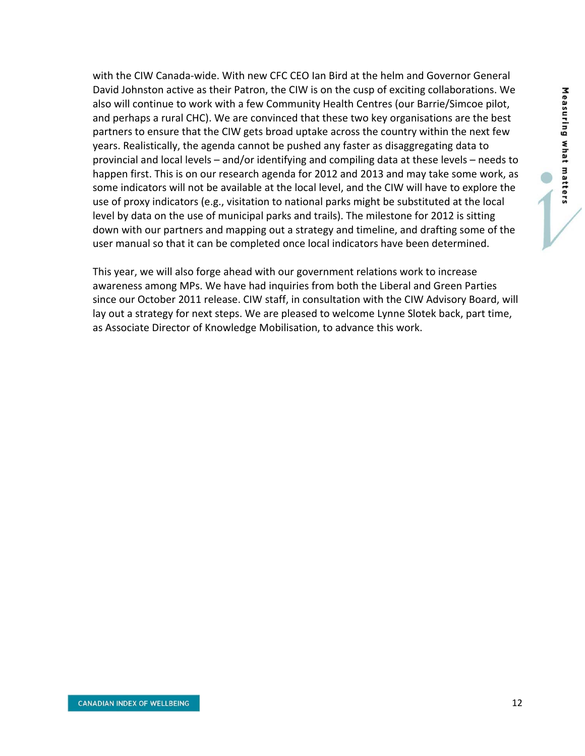with the CIW Canada‐wide. With new CFC CEO Ian Bird at the helm and Governor General David Johnston active as their Patron, the CIW is on the cusp of exciting collaborations. We also will continue to work with a few Community Health Centres (our Barrie/Simcoe pilot, and perhaps a rural CHC). We are convinced that these two key organisations are the best partners to ensure that the CIW gets broad uptake across the country within the next few years. Realistically, the agenda cannot be pushed any faster as disaggregating data to provincial and local levels – and/or identifying and compiling data at these levels – needs to happen first. This is on our research agenda for 2012 and 2013 and may take some work, as some indicators will not be available at the local level, and the CIW will have to explore the use of proxy indicators (e.g., visitation to national parks might be substituted at the local level by data on the use of municipal parks and trails). The milestone for 2012 is sitting down with our partners and mapping out a strategy and timeline, and drafting some of the user manual so that it can be completed once local indicators have been determined.

This year, we will also forge ahead with our government relations work to increase awareness among MPs. We have had inquiries from both the Liberal and Green Parties since our October 2011 release. CIW staff, in consultation with the CIW Advisory Board, will lay out a strategy for next steps. We are pleased to welcome Lynne Slotek back, part time, as Associate Director of Knowledge Mobilisation, to advance this work.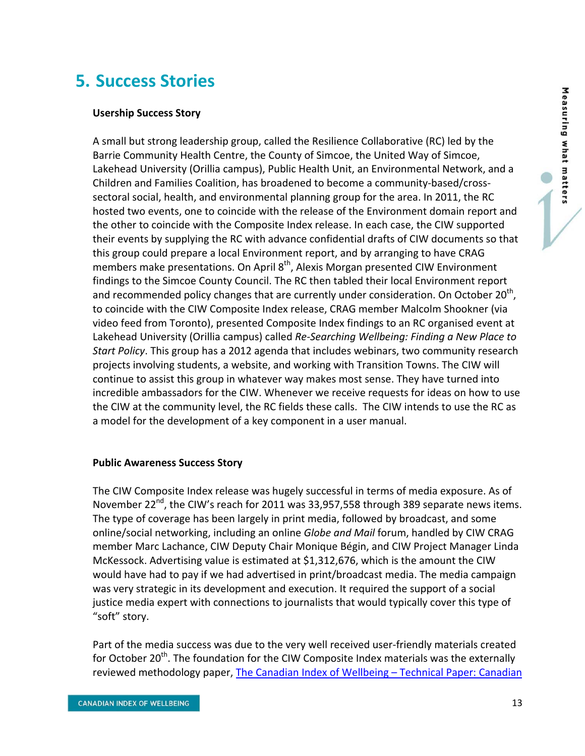## **5. Success Stories**

#### **Usership Success Story**

A small but strong leadership group, called the Resilience Collaborative (RC) led by the Barrie Community Health Centre, the County of Simcoe, the United Way of Simcoe, Lakehead University (Orillia campus), Public Health Unit, an Environmental Network, and a Children and Families Coalition, has broadened to become a community‐based/cross‐ sectoral social, health, and environmental planning group for the area. In 2011, the RC hosted two events, one to coincide with the release of the Environment domain report and the other to coincide with the Composite Index release. In each case, the CIW supported their events by supplying the RC with advance confidential drafts of CIW documents so that this group could prepare a local Environment report, and by arranging to have CRAG members make presentations. On April 8<sup>th</sup>, Alexis Morgan presented CIW Environment findings to the Simcoe County Council. The RC then tabled their local Environment report and recommended policy changes that are currently under consideration. On October 20<sup>th</sup>, to coincide with the CIW Composite Index release, CRAG member Malcolm Shookner (via video feed from Toronto), presented Composite Index findings to an RC organised event at Lakehead University (Orillia campus) called *Re‐Searching Wellbeing: Finding a New Place to Start Policy*. This group has a 2012 agenda that includes webinars, two community research projects involving students, a website, and working with Transition Towns. The CIW will continue to assist this group in whatever way makes most sense. They have turned into incredible ambassadors for the CIW. Whenever we receive requests for ideas on how to use the CIW at the community level, the RC fields these calls. The CIW intends to use the RC as a model for the development of a key component in a user manual.

#### **Public Awareness Success Story**

The CIW Composite Index release was hugely successful in terms of media exposure. As of November 22<sup>nd</sup>, the CIW's reach for 2011 was 33,957,558 through 389 separate news items. The type of coverage has been largely in print media, followed by broadcast, and some online/social networking, including an online *Globe and Mail* forum, handled by CIW CRAG member Marc Lachance, CIW Deputy Chair Monique Bégin, and CIW Project Manager Linda McKessock. Advertising value is estimated at \$1,312,676, which is the amount the CIW would have had to pay if we had advertised in print/broadcast media. The media campaign was very strategic in its development and execution. It required the support of a social justice media expert with connections to journalists that would typically cover this type of "soft" story.

Part of the media success was due to the very well received user-friendly materials created for October 20<sup>th</sup>. The foundation for the CIW Composite Index materials was the externally reviewed methodology paper, The Canadian Index of Wellbeing – Technical Paper: Canadian